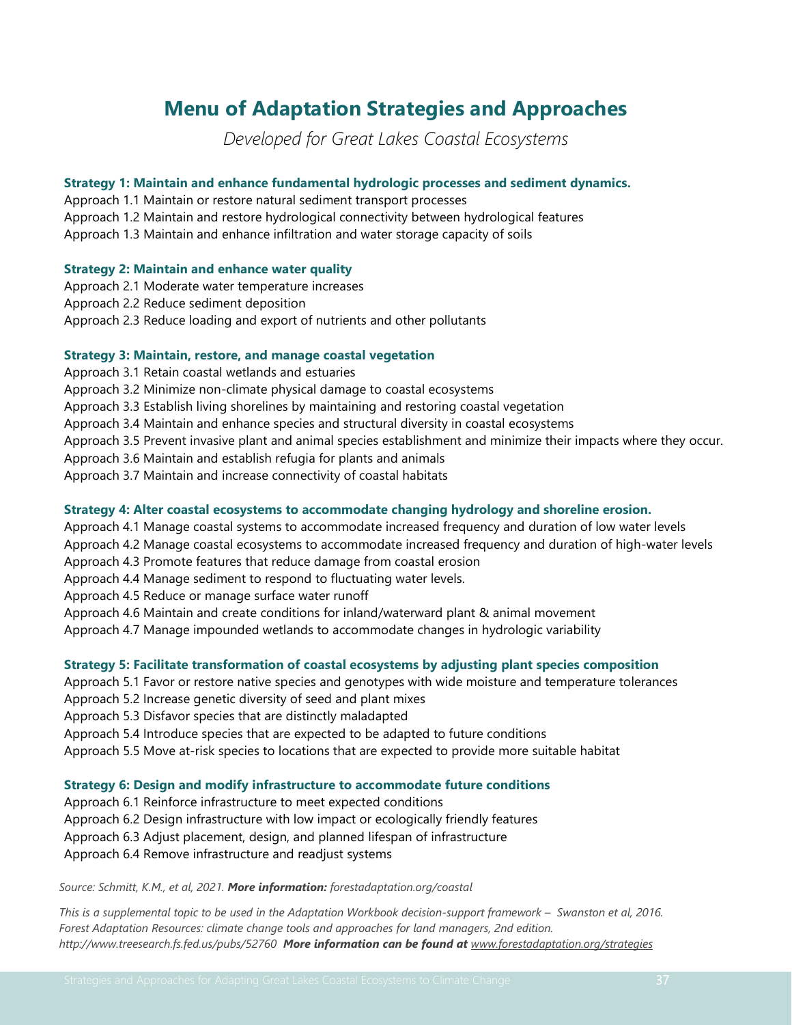# **Menu of Adaptation Strategies and Approaches**

*Developed for Great Lakes Coastal Ecosystems*

# **Strategy 1: Maintain and enhance fundamental hydrologic processes and sediment dynamics.**

- Approach 1.1 Maintain or restore natural sediment transport processes
- Approach 1.2 Maintain and restore hydrological connectivity between hydrological features

Approach 1.3 Maintain and enhance infiltration and water storage capacity of soils

#### **Strategy 2: Maintain and enhance water quality**

- Approach 2.1 Moderate water temperature increases
- Approach 2.2 Reduce sediment deposition
- Approach 2.3 Reduce loading and export of nutrients and other pollutants

#### **Strategy 3: Maintain, restore, and manage coastal vegetation**

- Approach 3.1 Retain coastal wetlands and estuaries
- Approach 3.2 Minimize non-climate physical damage to coastal ecosystems
- Approach 3.3 Establish living shorelines by maintaining and restoring coastal vegetation
- Approach 3.4 Maintain and enhance species and structural diversity in coastal ecosystems
- Approach 3.5 Prevent invasive plant and animal species establishment and minimize their impacts where they occur.
- Approach 3.6 Maintain and establish refugia for plants and animals
- Approach 3.7 Maintain and increase connectivity of coastal habitats

#### **Strategy 4: Alter coastal ecosystems to accommodate changing hydrology and shoreline erosion.**

- Approach 4.1 Manage coastal systems to accommodate increased frequency and duration of low water levels
- Approach 4.2 Manage coastal ecosystems to accommodate increased frequency and duration of high-water levels
- Approach 4.3 Promote features that reduce damage from coastal erosion
- Approach 4.4 Manage sediment to respond to fluctuating water levels.
- Approach 4.5 Reduce or manage surface water runoff
- Approach 4.6 Maintain and create conditions for inland/waterward plant & animal movement
- Approach 4.7 Manage impounded wetlands to accommodate changes in hydrologic variability

## **Strategy 5: Facilitate transformation of coastal ecosystems by adjusting plant species composition**

- Approach 5.1 Favor or restore native species and genotypes with wide moisture and temperature tolerances
- Approach 5.2 Increase genetic diversity of seed and plant mixes
- Approach 5.3 Disfavor species that are distinctly maladapted
- Approach 5.4 Introduce species that are expected to be adapted to future conditions
- Approach 5.5 Move at-risk species to locations that are expected to provide more suitable habitat

#### **Strategy 6: Design and modify infrastructure to accommodate future conditions**

- Approach 6.1 Reinforce infrastructure to meet expected conditions
- Approach 6.2 Design infrastructure with low impact or ecologically friendly features
- Approach 6.3 Adjust placement, design, and planned lifespan of infrastructure
- Approach 6.4 Remove infrastructure and readjust systems

#### *Source: Schmitt, K.M., et al, 2021. More information: forestadaptation.org/coastal*

*This is a supplemental topic to be used in the Adaptation Workbook decision-support framework – Swanston et al, 2016. Forest Adaptation Resources: climate change tools and approaches for land managers, 2nd edition. http://www.treesearch.fs.fed.us/pubs/52760 More information can be found at www.forestadaptation.org/strategies*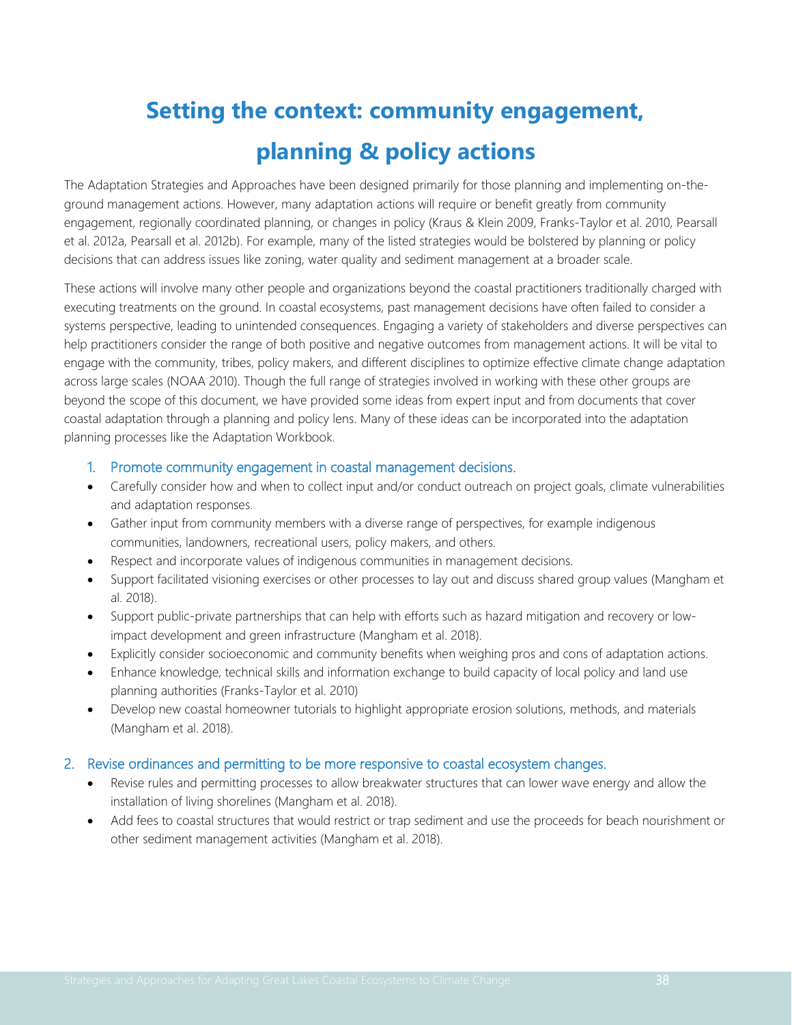# **Setting the context: community engagement, planning & policy actions**

The Adaptation Strategies and Approaches have been designed primarily for those planning and implementing on-theground management actions. However, many adaptation actions will require or benefit greatly from community engagement, regionally coordinated planning, or changes in policy (Kraus & Klein 2009, Franks-Taylor et al. 2010, Pearsall et al. 2012a, Pearsall et al. 2012b). For example, many of the listed strategies would be bolstered by planning or policy decisions that can address issues like zoning, water quality and sediment management at a broader scale.

These actions will involve many other people and organizations beyond the coastal practitioners traditionally charged with executing treatments on the ground. In coastal ecosystems, past management decisions have often failed to consider a systems perspective, leading to unintended consequences. Engaging a variety of stakeholders and diverse perspectives can help practitioners consider the range of both positive and negative outcomes from management actions. It will be vital to engage with the community, tribes, policy makers, and different disciplines to optimize effective climate change adaptation across large scales (NOAA 2010). Though the full range of strategies involved in working with these other groups are beyond the scope of this document, we have provided some ideas from expert input and from documents that cover coastal adaptation through a planning and policy lens. Many of these ideas can be incorporated into the adaptation planning processes like the Adaptation Workbook.

# 1. Promote community engagement in coastal management decisions.

- Carefully consider how and when to collect input and/or conduct outreach on project goals, climate vulnerabilities and adaptation responses.
- Gather input from community members with a diverse range of perspectives, for example indigenous communities, landowners, recreational users, policy makers, and others.
- Respect and incorporate values of indigenous communities in management decisions.
- Support facilitated visioning exercises or other processes to lay out and discuss shared group values (Mangham et al. 2018).
- Support public-private partnerships that can help with efforts such as hazard mitigation and recovery or lowimpact development and green infrastructure (Mangham et al. 2018).
- Explicitly consider socioeconomic and community benefits when weighing pros and cons of adaptation actions.
- Enhance knowledge, technical skills and information exchange to build capacity of local policy and land use planning authorities (Franks-Taylor et al. 2010)
- Develop new coastal homeowner tutorials to highlight appropriate erosion solutions, methods, and materials (Mangham et al. 2018).

# 2. Revise ordinances and permitting to be more responsive to coastal ecosystem changes.

- Revise rules and permitting processes to allow breakwater structures that can lower wave energy and allow the installation of living shorelines (Mangham et al. 2018).
- Add fees to coastal structures that would restrict or trap sediment and use the proceeds for beach nourishment or other sediment management activities (Mangham et al. 2018).